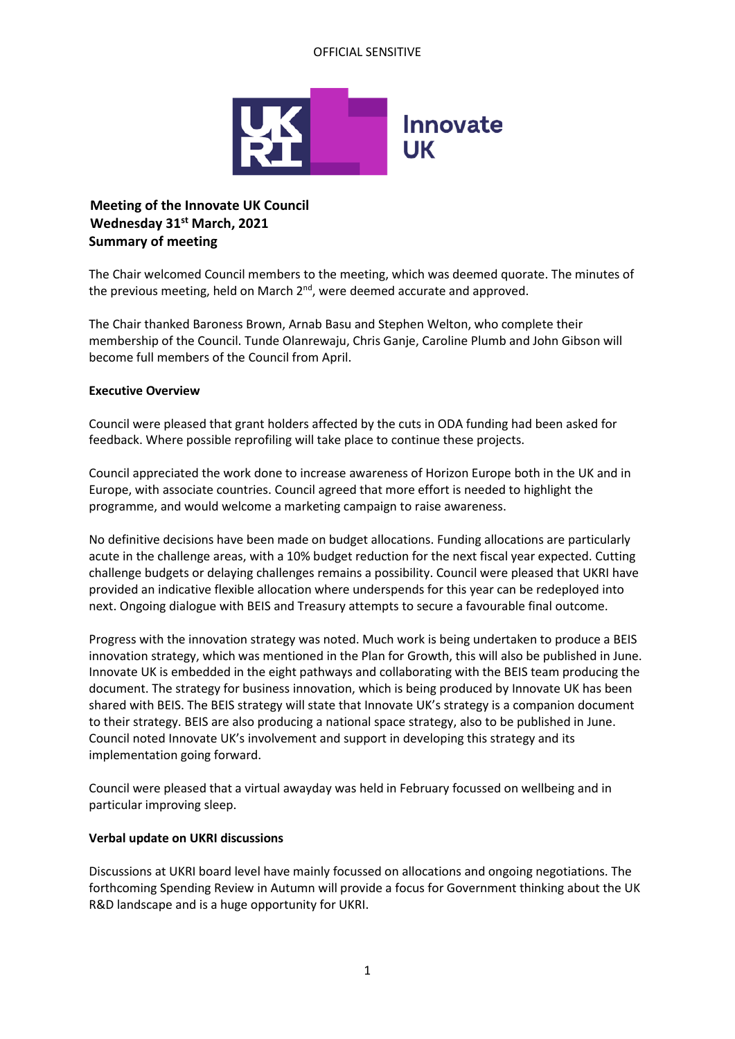## OFFICIAL SENSITIVE



# **Meeting of the Innovate UK Council Wednesday 31st March, 2021 Summary of meeting**

The Chair welcomed Council members to the meeting, which was deemed quorate. The minutes of the previous meeting, held on March 2<sup>nd</sup>, were deemed accurate and approved.

The Chair thanked Baroness Brown, Arnab Basu and Stephen Welton, who complete their membership of the Council. Tunde Olanrewaju, Chris Ganje, Caroline Plumb and John Gibson will become full members of the Council from April.

#### **Executive Overview**

Council were pleased that grant holders affected by the cuts in ODA funding had been asked for feedback. Where possible reprofiling will take place to continue these projects.

Council appreciated the work done to increase awareness of Horizon Europe both in the UK and in Europe, with associate countries. Council agreed that more effort is needed to highlight the programme, and would welcome a marketing campaign to raise awareness.

No definitive decisions have been made on budget allocations. Funding allocations are particularly acute in the challenge areas, with a 10% budget reduction for the next fiscal year expected. Cutting challenge budgets or delaying challenges remains a possibility. Council were pleased that UKRI have provided an indicative flexible allocation where underspends for this year can be redeployed into next. Ongoing dialogue with BEIS and Treasury attempts to secure a favourable final outcome.

Progress with the innovation strategy was noted. Much work is being undertaken to produce a BEIS innovation strategy, which was mentioned in the Plan for Growth, this will also be published in June. Innovate UK is embedded in the eight pathways and collaborating with the BEIS team producing the document. The strategy for business innovation, which is being produced by Innovate UK has been shared with BEIS. The BEIS strategy will state that Innovate UK's strategy is a companion document to their strategy. BEIS are also producing a national space strategy, also to be published in June. Council noted Innovate UK's involvement and support in developing this strategy and its implementation going forward.

Council were pleased that a virtual awayday was held in February focussed on wellbeing and in particular improving sleep.

## **Verbal update on UKRI discussions**

Discussions at UKRI board level have mainly focussed on allocations and ongoing negotiations. The forthcoming Spending Review in Autumn will provide a focus for Government thinking about the UK R&D landscape and is a huge opportunity for UKRI.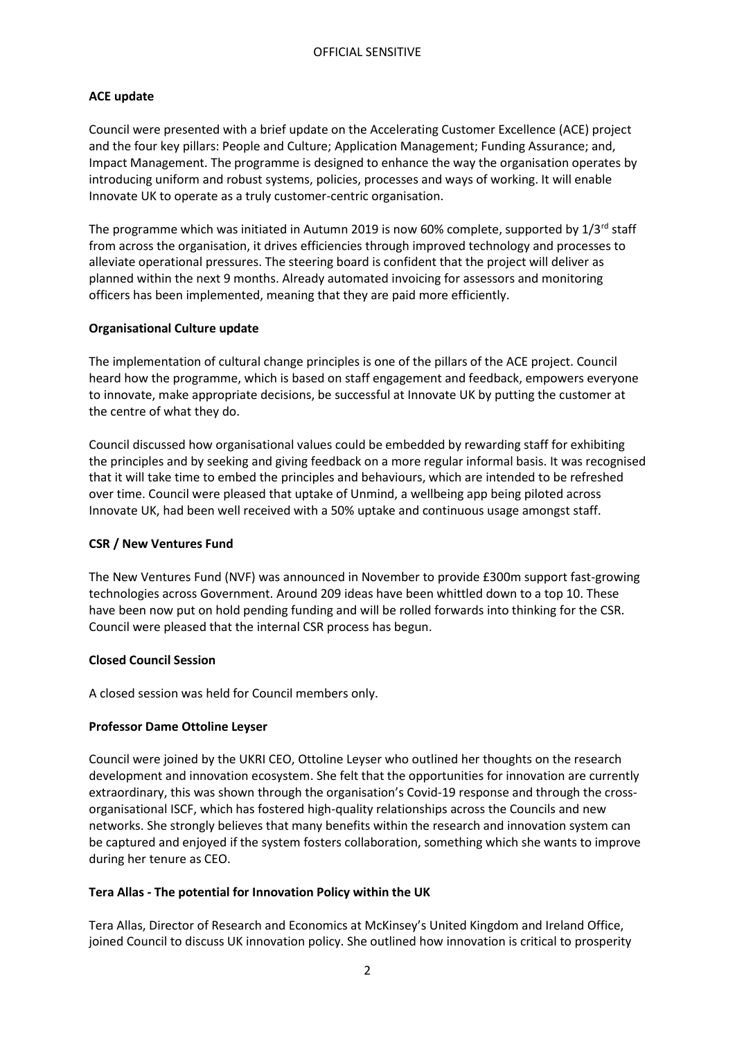## **ACE update**

Council were presented with a brief update on the Accelerating Customer Excellence (ACE) project and the four key pillars: People and Culture; Application Management; Funding Assurance; and, Impact Management. The programme is designed to enhance the way the organisation operates by introducing uniform and robust systems, policies, processes and ways of working. It will enable Innovate UK to operate as a truly customer-centric organisation.

The programme which was initiated in Autumn 2019 is now 60% complete, supported by  $1/3^{rd}$  staff from across the organisation, it drives efficiencies through improved technology and processes to alleviate operational pressures. The steering board is confident that the project will deliver as planned within the next 9 months. Already automated invoicing for assessors and monitoring officers has been implemented, meaning that they are paid more efficiently.

## **Organisational Culture update**

The implementation of cultural change principles is one of the pillars of the ACE project. Council heard how the programme, which is based on staff engagement and feedback, empowers everyone to innovate, make appropriate decisions, be successful at Innovate UK by putting the customer at the centre of what they do.

Council discussed how organisational values could be embedded by rewarding staff for exhibiting the principles and by seeking and giving feedback on a more regular informal basis. It was recognised that it will take time to embed the principles and behaviours, which are intended to be refreshed over time. Council were pleased that uptake of Unmind, a wellbeing app being piloted across Innovate UK, had been well received with a 50% uptake and continuous usage amongst staff.

## **CSR / New Ventures Fund**

The New Ventures Fund (NVF) was announced in November to provide £300m support fast-growing technologies across Government. Around 209 ideas have been whittled down to a top 10. These have been now put on hold pending funding and will be rolled forwards into thinking for the CSR. Council were pleased that the internal CSR process has begun.

## **Closed Council Session**

A closed session was held for Council members only.

## **Professor Dame Ottoline Leyser**

Council were joined by the UKRI CEO, Ottoline Leyser who outlined her thoughts on the research development and innovation ecosystem. She felt that the opportunities for innovation are currently extraordinary, this was shown through the organisation's Covid-19 response and through the crossorganisational ISCF, which has fostered high-quality relationships across the Councils and new networks. She strongly believes that many benefits within the research and innovation system can be captured and enjoyed if the system fosters collaboration, something which she wants to improve during her tenure as CEO.

## **Tera Allas - The potential for Innovation Policy within the UK**

Tera Allas, Director of Research and Economics at McKinsey's United Kingdom and Ireland Office, joined Council to discuss UK innovation policy. She outlined how innovation is critical to prosperity